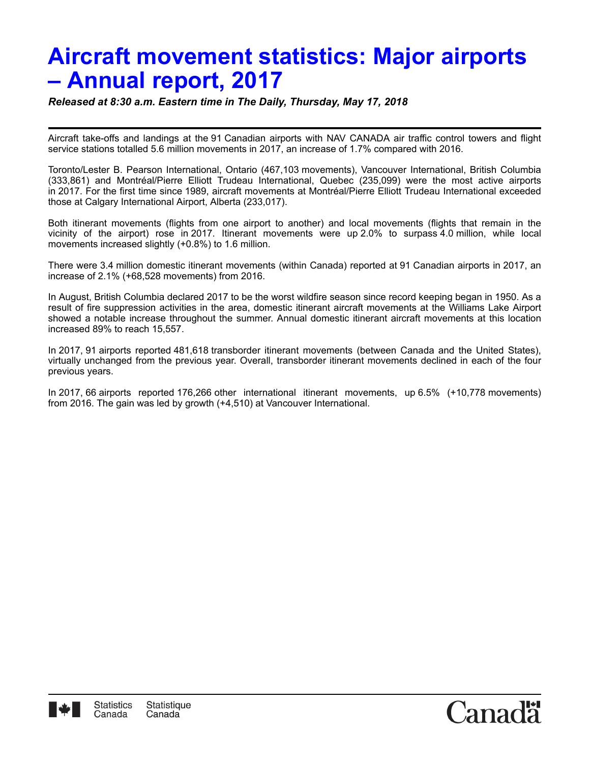# **Aircraft movement statistics: Major airports – Annual report, 2017**

*Released at 8:30 a.m. Eastern time in The Daily, Thursday, May 17, 2018*

Aircraft take-offs and landings at the 91 Canadian airports with NAV CANADA air traffic control towers and flight service stations totalled 5.6 million movements in 2017, an increase of 1.7% compared with 2016.

Toronto/Lester B. Pearson International, Ontario (467,103 movements), Vancouver International, British Columbia (333,861) and Montréal/Pierre Elliott Trudeau International, Quebec (235,099) were the most active airports in 2017. For the first time since 1989, aircraft movements at Montréal/Pierre Elliott Trudeau International exceeded those at Calgary International Airport, Alberta (233,017).

Both itinerant movements (flights from one airport to another) and local movements (flights that remain in the vicinity of the airport) rose in 2017. Itinerant movements were up 2.0% to surpass 4.0 million, while local movements increased slightly (+0.8%) to 1.6 million.

There were 3.4 million domestic itinerant movements (within Canada) reported at 91 Canadian airports in 2017, an increase of 2.1% (+68,528 movements) from 2016.

In August, British Columbia declared 2017 to be the worst wildfire season since record keeping began in 1950. As a result of fire suppression activities in the area, domestic itinerant aircraft movements at the Williams Lake Airport showed a notable increase throughout the summer. Annual domestic itinerant aircraft movements at this location increased 89% to reach 15,557.

In 2017, 91 airports reported 481,618 transborder itinerant movements (between Canada and the United States), virtually unchanged from the previous year. Overall, transborder itinerant movements declined in each of the four previous years.

In 2017, 66 airports reported 176,266 other international itinerant movements, up 6.5% (+10,778 movements) from 2016. The gain was led by growth (+4,510) at Vancouver International.



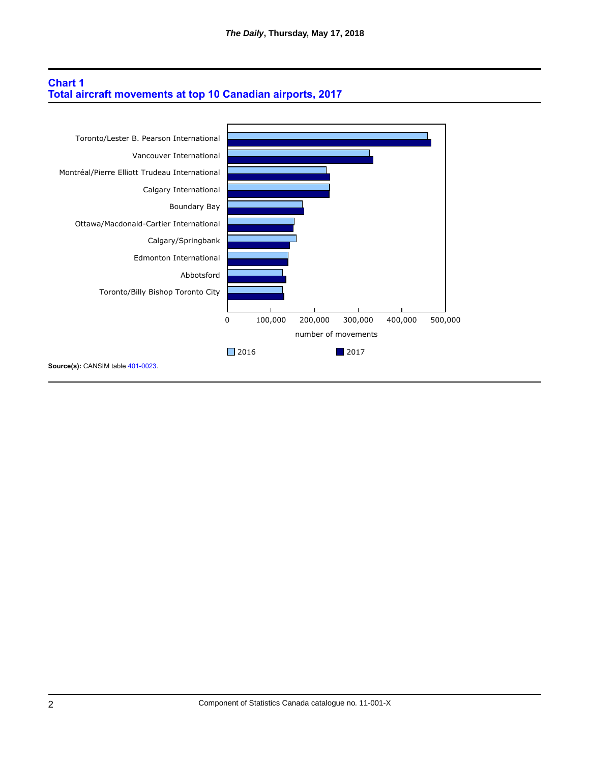## **Chart 1 Total aircraft movements at top 10 Canadian airports, 2017**

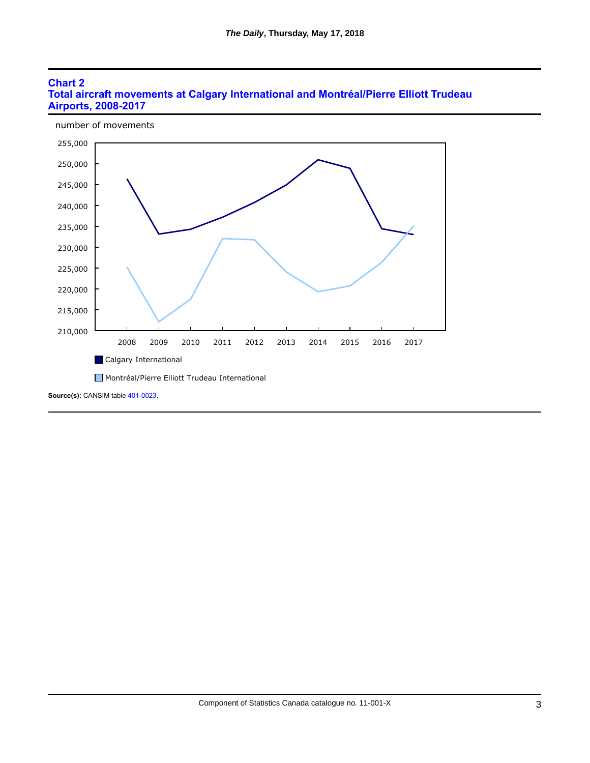### **Chart 2 Total aircraft movements at Calgary International and Montréal/Pierre Elliott Trudeau Airports, 2008-2017**

number of movements